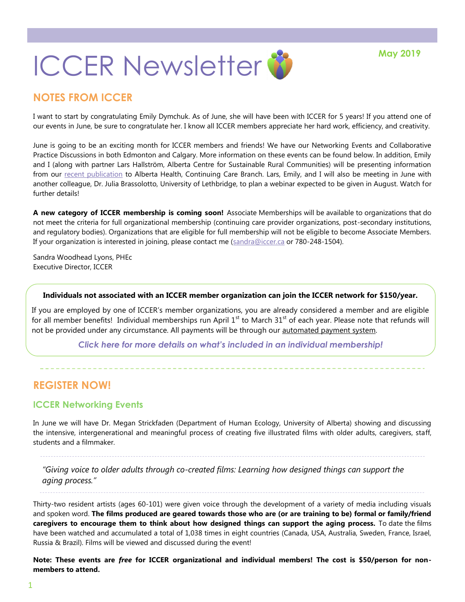

### **NOTES FROM ICCER**

I want to start by congratulating Emily Dymchuk. As of June, she will have been with ICCER for 5 years! If you attend one of our events in June, be sure to congratulate her. I know all ICCER members appreciate her hard work, efficiency, and creativity.

June is going to be an exciting month for ICCER members and friends! We have our Networking Events and Collaborative Practice Discussions in both Edmonton and Calgary. More information on these events can be found below. In addition, Emily and I (along with partner Lars Hallström, Alberta Centre for Sustainable Rural Communities) will be presenting information from our [recent publication](https://journals.brandonu.ca/jrcd/article/view/1578/366) to Alberta Health, Continuing Care Branch. Lars, Emily, and I will also be meeting in June with another colleague, Dr. Julia Brassolotto, University of Lethbridge, to plan a webinar expected to be given in August. Watch for further details!

**A new category of ICCER membership is coming soon!** Associate Memberships will be available to organizations that do not meet the criteria for full organizational membership (continuing care provider organizations, post-secondary institutions, and regulatory bodies). Organizations that are eligible for full membership will not be eligible to become Associate Members. If your organization is interested in joining, please contact me ([sandra@iccer.ca](mailto:sandra@iccer.ca) or 780-248-1504).

Sandra Woodhead Lyons, PHEc Executive Director, ICCER

#### **Individuals not associated with an ICCER member organization can join the ICCER network for \$150/year.**

If you are employed by one of ICCER's member organizations, you are already considered a member and are eligible for all member benefits! Individual memberships run April  $1<sup>st</sup>$  to March 31 $<sup>st</sup>$  of each year. Please note that refunds will</sup> not be provided under any circumstance. All payments will be through our [automated payment system.](https://payment.augustana.ualberta.ca/store/Rehab+Medicine+-+ICCER+Store/)

*[Click here for more details on what's included in an individual membership!](http://iccer.ca/im.html)*

### **REGISTER NOW!**

### **ICCER Networking Events**

In June we will have Dr. Megan Strickfaden (Department of Human Ecology, University of Alberta) showing and discussing the intensive, intergenerational and meaningful process of creating five illustrated films with older adults, caregivers, staff, students and a filmmaker.

*"Giving voice to older adults through co-created films: Learning how designed things can support the aging process."*

Thirty-two resident artists (ages 60-101) were given voice through the development of a variety of media including visuals and spoken word. **The films produced are geared towards those who are (or are training to be) formal or family/friend caregivers to encourage them to think about how designed things can support the aging process.** To date the films have been watched and accumulated a total of 1,038 times in eight countries (Canada, USA, Australia, Sweden, France, Israel, Russia & Brazil). Films will be viewed and discussed during the event!

**Note: These events are** *free* **for ICCER organizational and individual members! The cost is \$50/person for nonmembers to attend.**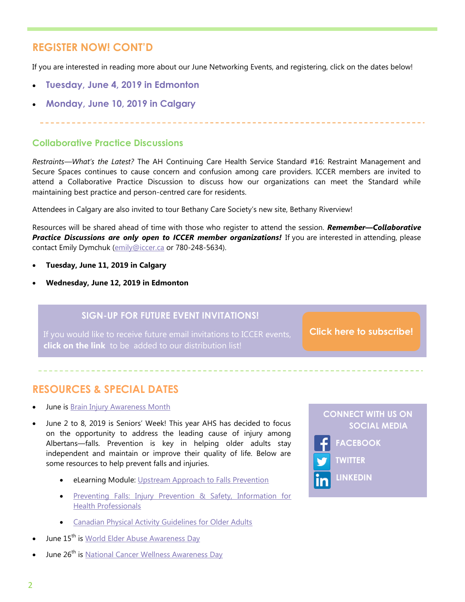### **REGISTER NOW! CONT'D**

If you are interested in reading more about our June Networking Events, and registering, click on the dates below!

- **[Tuesday, June 4, 2019 in Edmonton](http://events.constantcontact.com/register/event?llr=hnncpkfab&oeidk=a07eg9zy1xw34bbb0bc)**
- **[Monday, June 10, 2019 in Calgary](http://events.constantcontact.com/register/event?llr=hnncpkfab&oeidk=a07ega06qxc413c3bc8)**

#### **Collaborative Practice Discussions**

*Restraints—What's the Latest?* The AH Continuing Care Health Service Standard #16: Restraint Management and Secure Spaces continues to cause concern and confusion among care providers. ICCER members are invited to attend a Collaborative Practice Discussion to discuss how our organizations can meet the Standard while maintaining best practice and person-centred care for residents.

Attendees in Calgary are also invited to tour Bethany Care Society's new site, Bethany Riverview!

Resources will be shared ahead of time with those who register to attend the session. *Remember—Collaborative*  **Practice Discussions are only open to ICCER member organizations!** If you are interested in attending, please contact Emily Dymchuk [\(emily@iccer.ca](mailto:emily@iccer.ca) or 780-248-5634).

- **Tuesday, June 11, 2019 in Calgary**
- **Wednesday, June 12, 2019 in Edmonton**

### **SIGN-UP FOR FUTURE EVENT INVITATIONS!**

**click on the link** to be added to our distribution list!

**[Click here to subscribe!](https://visitor.r20.constantcontact.com/manage/optin?v=001MqUcqqvjwLD850nipaor0HtdI1Y9d8ED2u9ivDzRV7Gp5uTyf2p54vfsufOQXL7BcGZnnLM-9yRAw3TIqncd_CNV4yZzfE9gE8XUs-KE6So%3D)**

### **RESOURCES & SPECIAL DATES**

- June is [Brain Injury Awareness Month](https://www.braininjurycanada.ca/)
- June 2 to 8, 2019 is Seniors' Week! This year AHS has decided to focus on the opportunity to address the leading cause of injury among Albertans—falls. Prevention is key in helping older adults stay independent and maintain or improve their quality of life. Below are some resources to help prevent falls and injuries.
	- eLearning Module: [Upstream Approach to Falls Prevention](https://www.albertahealthservices.ca/injprev/Page16376.aspx)
	- Preventing Falls: Injury Prevention & Safety, Information for [Health Professionals](https://www.albertahealthservices.ca/injprev/Page15787.aspx)
	- **•** [Canadian Physical Activity Guidelines for Older Adults](http://www.csep.ca/CMFiles/Guidelines/CSEP_PAGuidelines_older-adults_en.pdf)
- June 15<sup>th</sup> is [World Elder Abuse Awareness Day](https://www.un.org/en/events/elderabuse/)
- June 26<sup>th</sup> is [National Cancer Wellness Awareness Day](https://wicwc.com/)

### **CONNECT WITH US ON SOCIAL MEDIA**



**TWITTER**

**LINKEDIN**